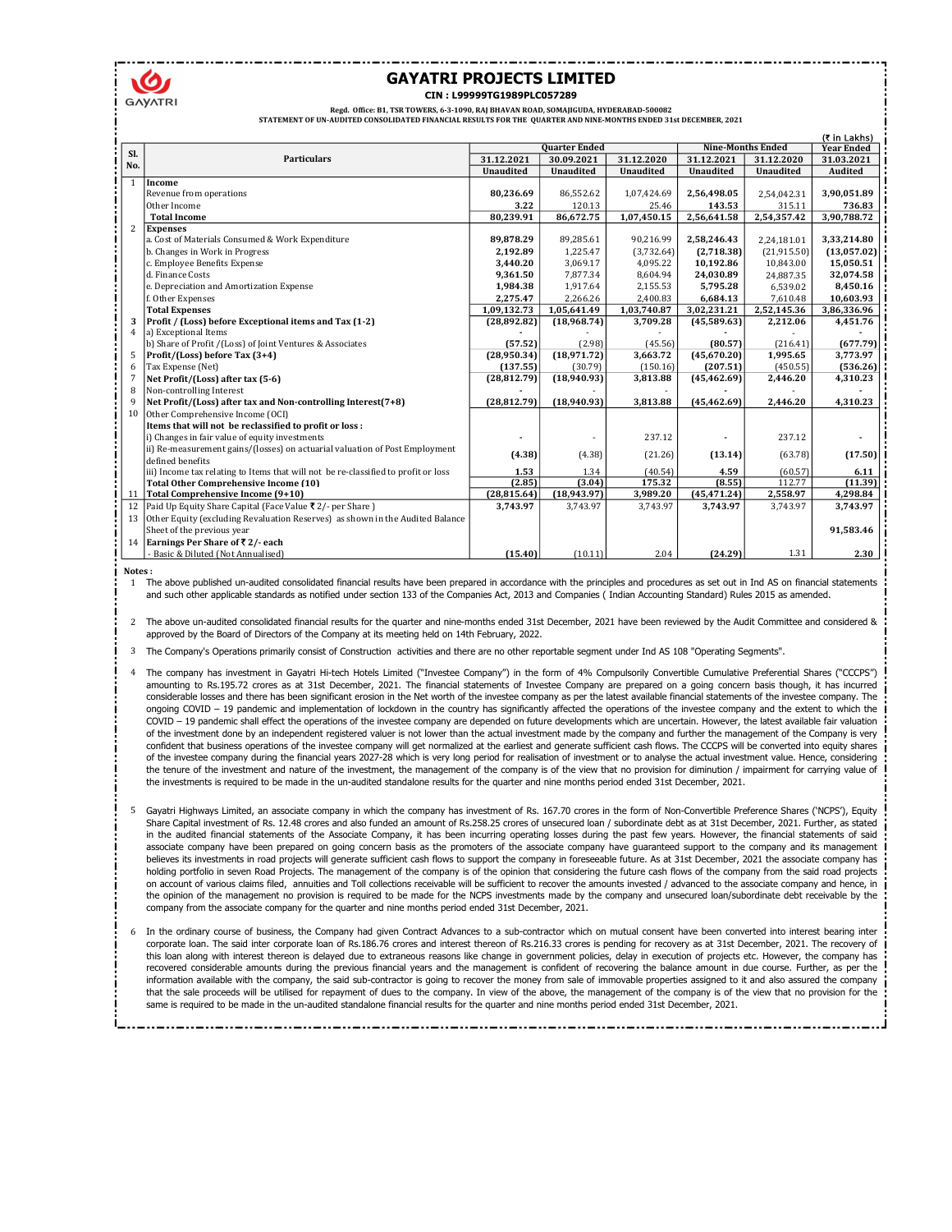

## GAYATRI PROJECTS LIMITED CIN : L99999TG1989PLC057289

Regd. Office: B1, TSR TOWERS, 6-3-1090, RAJ BHAVAN ROAD, SOMAJIGUDA, HYDERABAD-500082

STATEMENT OF UN-AUDITED CONSOLIDATED FINANCIAL RESULTS FOR THE QUARTER AND NINE-MONTHS ENDED 31st DECEMBER, 2021

|                |                                                                                                 |                  |                      |                  |                  |                          | (₹ in Lakhs)      |
|----------------|-------------------------------------------------------------------------------------------------|------------------|----------------------|------------------|------------------|--------------------------|-------------------|
| Sl.            |                                                                                                 |                  | <b>Quarter Ended</b> |                  |                  | <b>Nine-Months Ended</b> | <b>Year Ended</b> |
| No.            | <b>Particulars</b>                                                                              | 31.12.2021       | 30.09.2021           | 31.12.2020       | 31.12.2021       | 31.12.2020               | 31.03.2021        |
|                |                                                                                                 | <b>Unaudited</b> | <b>Unaudited</b>     | <b>Unaudited</b> | <b>Unaudited</b> | <b>Unaudited</b>         | <b>Audited</b>    |
| $\mathbf{1}$   | Income                                                                                          |                  |                      |                  |                  |                          |                   |
|                | Revenue from operations                                                                         | 80,236.69        | 86,552.62            | 1,07,424.69      | 2,56,498.05      | 2,54,042.31              | 3,90,051.89       |
|                | Other Income                                                                                    | 3.22             | 120.13               | 25.46            | 143.53           | 315.11                   | 736.83            |
|                | <b>Total Income</b>                                                                             | 80,239.91        | 86,672.75            | 1,07,450.15      | 2,56,641.58      | 2,54,357.42              | 3,90,788.72       |
| 2              | <b>Expenses</b>                                                                                 |                  |                      |                  |                  |                          |                   |
|                | a. Cost of Materials Consumed & Work Expenditure                                                | 89,878.29        | 89,285.61            | 90,216.99        | 2,58,246.43      | 2,24,181.01              | 3,33,214.80       |
|                | b. Changes in Work in Progress                                                                  | 2,192.89         | 1,225.47             | (3,732.64)       | (2,718.38)       | (21, 915.50)             | (13,057.02)       |
|                | c. Employee Benefits Expense                                                                    | 3,440.20         | 3,069.17             | 4,095.22         | 10,192.86        | 10,843.00                | 15,050.51         |
|                | d. Finance Costs                                                                                | 9,361.50         | 7.877.34             | 8.604.94         | 24,030.89        | 24,887.35                | 32,074.58         |
|                | e. Depreciation and Amortization Expense                                                        | 1,984.38         | 1,917.64             | 2,155.53         | 5,795.28         | 6,539.02                 | 8,450.16          |
|                | f. Other Expenses                                                                               | 2,275.47         | 2,266.26             | 2,400.83         | 6,684.13         | 7,610.48                 | 10,603.93         |
|                | <b>Total Expenses</b>                                                                           | 1,09,132.73      | 1,05,641.49          | 1,03,740.87      | 3,02,231.21      | 2,52,145.36              | 3,86,336.96       |
| 3              | Profit / (Loss) before Exceptional items and Tax (1-2)                                          | (28,892.82)      | (18,968.74)          | 3,709.28         | (45,589.63)      | 2,212.06                 | 4,451.76          |
| $\overline{4}$ | a) Exceptional Items                                                                            |                  |                      |                  |                  |                          |                   |
|                | b) Share of Profit /(Loss) of Joint Ventures & Associates                                       | (57.52)          | (2.98)               | (45.56)          | (80.57)          | (216.41)                 | (677.79)          |
|                | Profit/(Loss) before Tax (3+4)                                                                  | (28,950.34)      | (18,971.72)          | 3,663.72         | (45,670.20)      | 1,995.65                 | 3,773.97          |
| 6              | Tax Expense (Net)                                                                               | (137.55)         | (30.79)              | (150.16)         | (207.51)         | (450.55)                 | (536.26)          |
| 7              | Net Profit/(Loss) after tax (5-6)                                                               | (28, 812.79)     | (18,940.93)          | 3,813.88         | (45, 462.69)     | 2,446.20                 | 4,310.23          |
| 8              | Non-controlling Interest                                                                        |                  |                      |                  |                  |                          |                   |
| q              | Net Profit/(Loss) after tax and Non-controlling Interest(7+8)                                   | (28, 812.79)     | (18,940.93)          | 3,813.88         | (45, 462.69)     | 2,446.20                 | 4,310.23          |
| 10             | Other Comprehensive Income (OCI)                                                                |                  |                      |                  |                  |                          |                   |
|                | Items that will not be reclassified to profit or loss:                                          |                  |                      |                  |                  |                          |                   |
|                | i) Changes in fair value of equity investments                                                  |                  |                      | 237.12           |                  | 237.12                   |                   |
|                | ii) Re-measurement gains/(losses) on actuarial valuation of Post Employment<br>defined benefits | (4.38)           | (4.38)               | (21.26)          | (13.14)          | (63.78)                  | (17.50)           |
|                | iii) Income tax relating to Items that will not be re-classified to profit or loss              | 1.53             | 1.34                 | (40.54)          | 4.59             | (60.57)                  | 6.11              |
|                | <b>Total Other Comprehensive Income (10)</b>                                                    | (2.85)           | (3.04)               | 175.32           | (8.55)           | 112.77                   | (11.39)           |
|                | 11 Total Comprehensive Income (9+10)                                                            | (28, 815.64)     | (18,943.97)          | 3,989.20         | (45, 471.24)     | 2,558.97                 | 4,298.84          |
| 12             | Paid Up Equity Share Capital (Face Value ₹ 2/- per Share)                                       | 3,743.97         | 3,743.97             | 3,743.97         | 3,743.97         | 3,743.97                 | 3,743.97          |
|                | 13 Other Equity (excluding Revaluation Reserves) as shown in the Audited Balance                |                  |                      |                  |                  |                          |                   |
|                | Sheet of the previous year                                                                      |                  |                      |                  |                  |                          | 91,583.46         |
|                | 14 Earnings Per Share of ₹2/- each                                                              |                  |                      |                  |                  |                          |                   |
|                | - Basic & Diluted (Not Annualised)                                                              | (15.40)          | (10.11)              | 2.04             | (24.29)          | 1.31                     | 2.30              |
|                |                                                                                                 |                  |                      |                  |                  |                          |                   |

Notes :

1 The above published un-audited consolidated financial results have been prepared in accordance with the principles and procedures as set out in Ind AS on financial statements and such other applicable standards as notified under section 133 of the Companies Act, 2013 and Companies ( Indian Accounting Standard) Rules 2015 as amended.

2 The above un-audited consolidated financial results for the quarter and nine-months ended 31st December, 2021 have been reviewed by the Audit Committee and considered & approved by the Board of Directors of the Company at its meeting held on 14th February, 2022.

3 The Company's Operations primarily consist of Construction activities and there are no other reportable segment under Ind AS 108 "Operating Segments".

4 The company has investment in Gayatri Hi-tech Hotels Limited ("Investee Company") in the form of 4% Compulsorily Convertible Cumulative Preferential Shares ("CCCPS") amounting to Rs.195.72 crores as at 31st December, 2021. The financial statements of Investee Company are prepared on a going concern basis though, it has incurred considerable losses and there has been significant erosion in the Net worth of the investee company as per the latest available financial statements of the investee company. The ongoing COVID - 19 pandemic and implementation of lockdown in the country has significantly affected the operations of the investee company and the extent to which the COVID – 19 pandemic shall effect the operations of the investee company are depended on future developments which are uncertain. However, the latest available fair valuation of the investment done by an independent registered valuer is not lower than the actual investment made by the company and further the management of the Company is very confident that business operations of the investee company will get normalized at the earliest and generate sufficient cash flows. The CCCPS will be converted into equity shares of the investee company during the financial years 2027-28 which is very long period for realisation of investment or to analyse the actual investment value. Hence, considering the tenure of the investment and nature of the investment, the management of the company is of the view that no provision for diminution / impairment for carrying value of the investments is required to be made in the un-audited standalone results for the quarter and nine months period ended 31st December, 2021.

- 5 Gayatri Highways Limited, an associate company in which the company has investment of Rs. 167.70 crores in the form of Non-Convertible Preference Shares ('NCPS'), Equity Share Capital investment of Rs. 12.48 crores and also funded an amount of Rs.258.25 crores of unsecured loan / subordinate debt as at 31st December, 2021. Further, as stated in the audited financial statements of the Associate Company, it has been incurring operating losses during the past few years. However, the financial statements of said associate company have been prepared on going concern basis as the promoters of the associate company have guaranteed support to the company and its management believes its investments in road projects will generate sufficient cash flows to support the company in foreseeable future. As at 31st December, 2021 the associate company has holding portfolio in seven Road Projects. The management of the company is of the opinion that considering the future cash flows of the company from the said road projects on account of various claims filed, annuities and Toll collections receivable will be sufficient to recover the amounts invested / advanced to the associate company and hence, in the opinion of the management no provision is required to be made for the NCPS investments made by the company and unsecured loan/subordinate debt receivable by the company from the associate company for the quarter and nine months period ended 31st December, 2021.
- 6 In the ordinary course of business, the Company had given Contract Advances to a sub-contractor which on mutual consent have been converted into interest bearing inter corporate loan. The said inter corporate loan of Rs.186.76 crores and interest thereon of Rs.216.33 crores is pending for recovery as at 31st December, 2021. The recovery of this loan along with interest thereon is delayed due to extraneous reasons like change in government policies, delay in execution of projects etc. However, the company has recovered considerable amounts during the previous financial years and the management is confident of recovering the balance amount in due course. Further, as per the information available with the company, the said sub-contractor is going to recover the money from sale of immovable properties assigned to it and also assured the company that the sale proceeds will be utilised for repayment of dues to the company. In view of the above, the management of the company is of the view that no provision for the same is required to be made in the un-audited standalone financial results for the quarter and nine months period ended 31st December, 2021.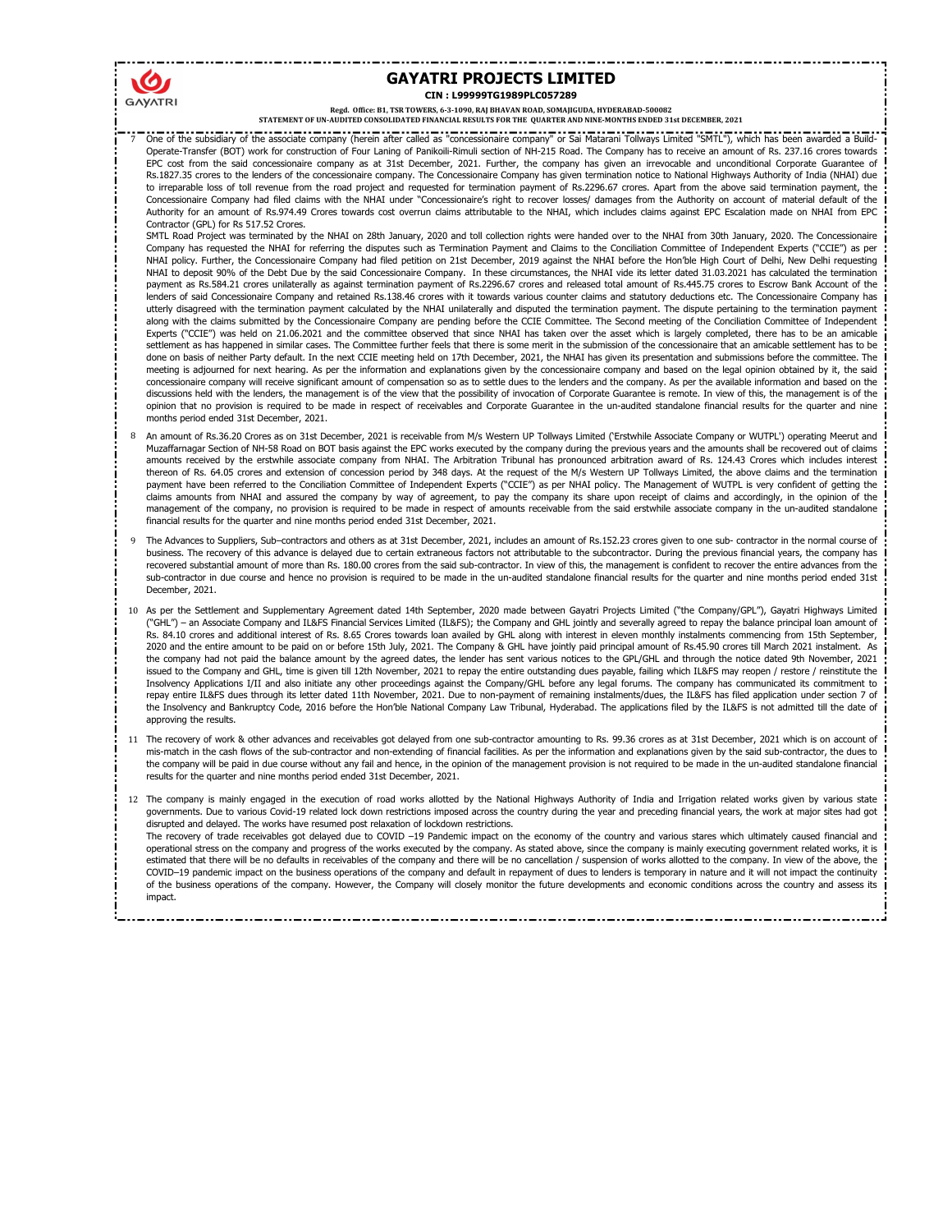## GAYATRI PROJECTS LIMITED CIN : L99999TG1989PLC057289

Regd. Office: B1, TSR TOWERS, 6-3-1090, RAJ BHAVAN ROAD, SOMAJIGUDA, HYDERABAD-500082

STATEMENT OF UN-AUDITED CONSOLIDATED FINANCIAL RESULTS FOR THE QUARTER AND NINE-MONTHS ENDED 31st DECEMBER, 2021

7 One of the subsidiary of the associate company (herein after called as "concessionaire company" or Sai Matarani Tollways Limited "SMTL"), which has been awarded a Build-Operate-Transfer (BOT) work for construction of Four Laning of Panikoili-Rimuli section of NH-215 Road. The Company has to receive an amount of Rs. 237.16 crores towards EPC cost from the said concessionaire company as at 31st December, 2021. Further, the company has given an irrevocable and unconditional Corporate Guarantee of Rs.1827.35 crores to the lenders of the concessionaire company. The Concessionaire Company has given termination notice to National Highways Authority of India (NHAI) due to irreparable loss of toll revenue from the road project and requested for termination payment of Rs.2296.67 crores. Apart from the above said termination payment, the Concessionaire Company had filed claims with the NHAI under "Concessionaire's right to recover losses/ damages from the Authority on account of material default of the Authority for an amount of Rs.974.49 Crores towards cost overrun claims attributable to the NHAI, which includes claims against EPC Escalation made on NHAI from EPC Contractor (GPL) for Rs 517.52 Crores.

SMTL Road Project was terminated by the NHAI on 28th January, 2020 and toll collection rights were handed over to the NHAI from 30th January, 2020. The Concessionaire Company has requested the NHAI for referring the disputes such as Termination Payment and Claims to the Conciliation Committee of Independent Experts ("CCIE") as per NHAI policy. Further, the Concessionaire Company had filed petition on 21st December, 2019 against the NHAI before the Hon'ble High Court of Delhi, New Delhi requesting NHAI to deposit 90% of the Debt Due by the said Concessionaire Company. In these circumstances, the NHAI vide its letter dated 31.03.2021 has calculated the termination<br>payment as Rs.584.21 crores unilaterally as against t lenders of said Concessionaire Company and retained Rs.138.46 crores with it towards various counter claims and statutory deductions etc. The Concessionaire Company has utterly disagreed with the termination payment calculated by the NHAI unilaterally and disputed the termination payment. The dispute pertaining to the termination payment along with the claims submitted by the Concessionaire Company are pending before the CCIE Committee. The Second meeting of the Conciliation Committee of Independent Experts ("CCIE") was held on 21.06.2021 and the committee observed that since NHAI has taken over the asset which is largely completed, there has to be an amicable settlement as has happened in similar cases. The Committee further feels that there is some merit in the submission of the concessionaire that an amicable settlement has to be done on basis of neither Party default. In the next CCIE meeting held on 17th December, 2021, the NHAI has given its presentation and submissions before the committee. The meeting is adjourned for next hearing. As per the information and explanations given by the concessionaire company and based on the legal opinion obtained by it, the said concessionaire company will receive significant amount of compensation so as to settle dues to the lenders and the company. As per the available information and based on the discussions held with the lenders, the management is of the view that the possibility of invocation of Corporate Guarantee is remote. In view of this, the management is of the opinion that no provision is required to be made in respect of receivables and Corporate Guarantee in the un-audited standalone financial results for the quarter and nine months period ended 31st December, 2021.

- 8 An amount of Rs.36.20 Crores as on 31st December, 2021 is receivable from M/s Western UP Tollways Limited ('Erstwhile Associate Company or WUTPL') operating Meerut and Muzaffarnagar Section of NH-58 Road on BOT basis against the EPC works executed by the company during the previous years and the amounts shall be recovered out of claims amounts received by the erstwhile associate company from NHAI. The Arbitration Tribunal has pronounced arbitration award of Rs. 124.43 Crores which includes interest thereon of Rs. 64.05 crores and extension of concession period by 348 days. At the request of the M/s Western UP Tollways Limited, the above claims and the termination payment have been referred to the Conciliation Committee of Independent Experts ("CCIE") as per NHAI policy. The Management of WUTPL is very confident of getting the claims amounts from NHAI and assured the company by way of agreement, to pay the company its share upon receipt of claims and accordingly, in the opinion of the management of the company, no provision is required to be made in respect of amounts receivable from the said erstwhile associate company in the un-audited standalone financial results for the quarter and nine months period ended 31st December, 2021.
- 9 The Advances to Suppliers, Sub–contractors and others as at 31st December, 2021, includes an amount of Rs.152.23 crores given to one sub- contractor in the normal course of business. The recovery of this advance is delayed due to certain extraneous factors not attributable to the subcontractor. During the previous financial years, the company has recovered substantial amount of more than Rs. 180.00 crores from the said sub-contractor. In view of this, the management is confident to recover the entire advances from the sub-contractor in due course and hence no provision is required to be made in the un-audited standalone financial results for the quarter and nine months period ended 31st December, 2021.
- 10 As per the Settlement and Supplementary Agreement dated 14th September, 2020 made between Gayatri Projects Limited ("the Company/GPL"), Gayatri Highways Limited ("GHL") – an Associate Company and IL&FS Financial Services Limited (IL&FS); the Company and GHL jointly and severally agreed to repay the balance principal loan amount of Rs. 84.10 crores and additional interest of Rs. 8.65 Crores towards loan availed by GHL along with interest in eleven monthly instalments commencing from 15th September, 2020 and the entire amount to be paid on or before 15th July, 2021. The Company & GHL have jointly paid principal amount of Rs.45.90 crores till March 2021 instalment. As the company had not paid the balance amount by the agreed dates, the lender has sent various notices to the GPL/GHL and through the notice dated 9th November, 2021 issued to the Company and GHL, time is given till 12th November, 2021 to repay the entire outstanding dues payable, failing which IL&FS may reopen / restore / reinstitute the Insolvency Applications I/II and also initiate any other proceedings against the Company/GHL before any legal forums. The company has communicated its commitment to repay entire IL&FS dues through its letter dated 11th November, 2021. Due to non-payment of remaining instalments/dues, the IL&FS has filed application under section 7 of the Insolvency and Bankruptcy Code, 2016 before the Hon'ble National Company Law Tribunal, Hyderabad. The applications filed by the IL&FS is not admitted till the date of approving the results.
- 11 The recovery of work & other advances and receivables got delayed from one sub-contractor amounting to Rs. 99.36 crores as at 31st December, 2021 which is on account of mis-match in the cash flows of the sub-contractor and non-extending of financial facilities. As per the information and explanations given by the said sub-contractor, the dues to the company will be paid in due course without any fail and hence, in the opinion of the management provision is not required to be made in the un-audited standalone financial results for the quarter and nine months period ended 31st December, 2021.

12 The company is mainly engaged in the execution of road works allotted by the National Highways Authority of India and Irrigation related works given by various state governments. Due to various Covid-19 related lock down restrictions imposed across the country during the year and preceding financial years, the work at major sites had got disrupted and delayed. The works have resumed post relaxation of lockdown restrictions. The recovery of trade receivables got delayed due to COVID –19 Pandemic impact on the economy of the country and various stares which ultimately caused financial and operational stress on the company and progress of the works executed by the company. As stated above, since the company is mainly executing government related works, it is estimated that there will be no defaults in receivables of the company and there will be no cancellation / suspension of works allotted to the company. In view of the above, the COVID–19 pandemic impact on the business operations of the company and default in repayment of dues to lenders is temporary in nature and it will not impact the continuity of the business operations of the company. However, the Company will closely monitor the future developments and economic conditions across the country and assess its impact.